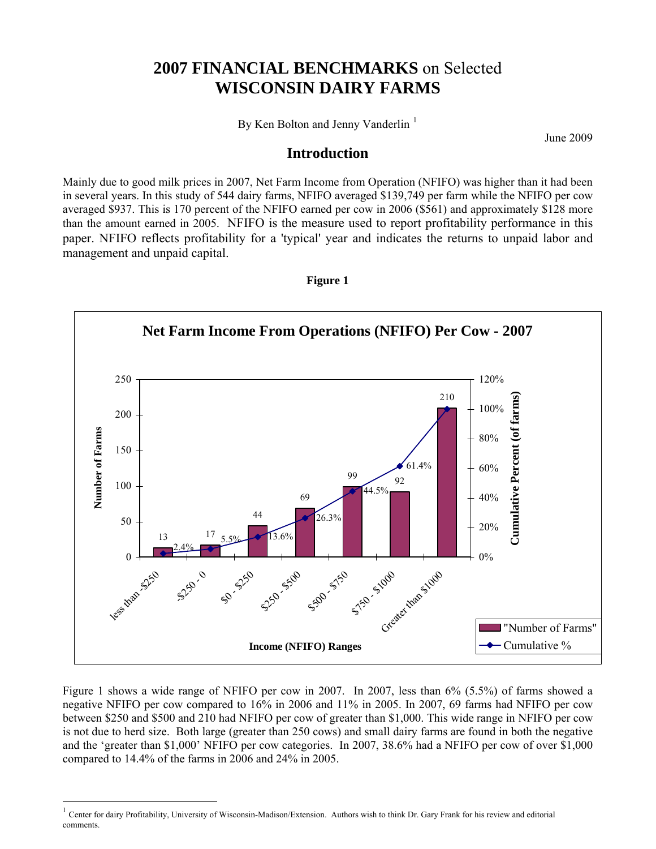## **2007 FINANCIAL BENCHMARKS** on Selected **WISCONSIN DAIRY FARMS**

By Ken Bolton and Jenny Vanderlin<sup>[1](#page-0-0)</sup>

June 2009

#### **Introduction**

Mainly due to good milk prices in 2007, Net Farm Income from Operation (NFIFO) was higher than it had been in several years. In this study of 544 dairy farms, NFIFO averaged \$139,749 per farm while the NFIFO per cow averaged \$937. This is 170 percent of the NFIFO earned per cow in 2006 (\$561) and approximately \$128 more than the amount earned in 2005. NFIFO is the measure used to report profitability performance in this paper. NFIFO reflects profitability for a 'typical' year and indicates the returns to unpaid labor and management and unpaid capital.



**Figure 1** 

Figure 1 shows a wide range of NFIFO per cow in 2007. In 2007, less than 6% (5.5%) of farms showed a negative NFIFO per cow compared to 16% in 2006 and 11% in 2005. In 2007, 69 farms had NFIFO per cow between \$250 and \$500 and 210 had NFIFO per cow of greater than \$1,000. This wide range in NFIFO per cow is not due to herd size. Both large (greater than 250 cows) and small dairy farms are found in both the negative and the 'greater than \$1,000' NFIFO per cow categories. In 2007, 38.6% had a NFIFO per cow of over \$1,000 compared to 14.4% of the farms in 2006 and 24% in 2005.

 $\overline{a}$ 

<span id="page-0-0"></span><sup>1</sup> Center for dairy Profitability, University of Wisconsin-Madison/Extension. Authors wish to think Dr. Gary Frank for his review and editorial comments.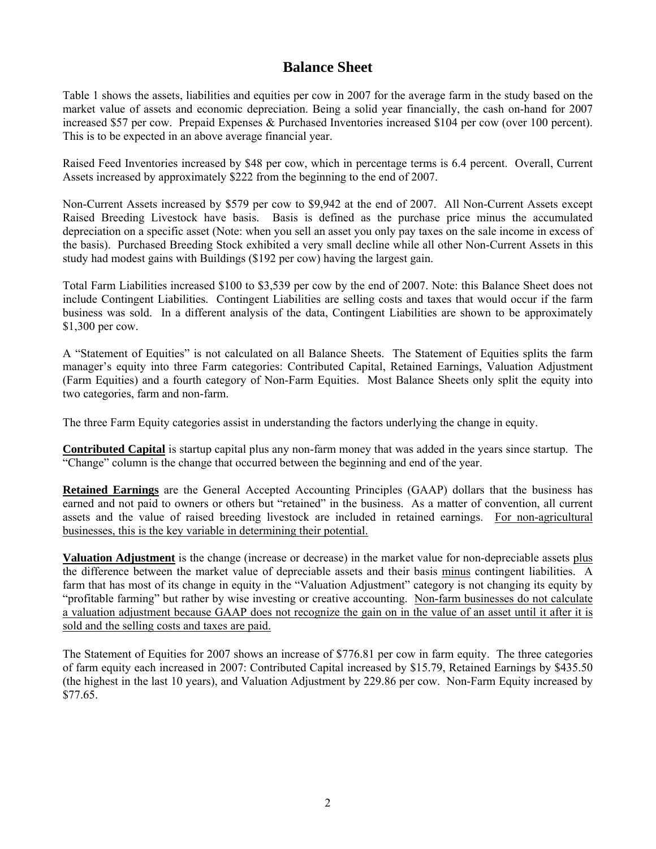### **Balance Sheet**

Table 1 shows the assets, liabilities and equities per cow in 2007 for the average farm in the study based on the market value of assets and economic depreciation. Being a solid year financially, the cash on-hand for 2007 increased \$57 per cow. Prepaid Expenses & Purchased Inventories increased \$104 per cow (over 100 percent). This is to be expected in an above average financial year.

Raised Feed Inventories increased by \$48 per cow, which in percentage terms is 6.4 percent. Overall, Current Assets increased by approximately \$222 from the beginning to the end of 2007.

Non-Current Assets increased by \$579 per cow to \$9,942 at the end of 2007. All Non-Current Assets except Raised Breeding Livestock have basis. Basis is defined as the purchase price minus the accumulated depreciation on a specific asset (Note: when you sell an asset you only pay taxes on the sale income in excess of the basis). Purchased Breeding Stock exhibited a very small decline while all other Non-Current Assets in this study had modest gains with Buildings (\$192 per cow) having the largest gain.

Total Farm Liabilities increased \$100 to \$3,539 per cow by the end of 2007. Note: this Balance Sheet does not include Contingent Liabilities. Contingent Liabilities are selling costs and taxes that would occur if the farm business was sold. In a different analysis of the data, Contingent Liabilities are shown to be approximately \$1,300 per cow.

A "Statement of Equities" is not calculated on all Balance Sheets. The Statement of Equities splits the farm manager's equity into three Farm categories: Contributed Capital, Retained Earnings, Valuation Adjustment (Farm Equities) and a fourth category of Non-Farm Equities. Most Balance Sheets only split the equity into two categories, farm and non-farm.

The three Farm Equity categories assist in understanding the factors underlying the change in equity.

**Contributed Capital** is startup capital plus any non-farm money that was added in the years since startup. The "Change" column is the change that occurred between the beginning and end of the year.

**Retained Earnings** are the General Accepted Accounting Principles (GAAP) dollars that the business has earned and not paid to owners or others but "retained" in the business. As a matter of convention, all current assets and the value of raised breeding livestock are included in retained earnings. For non-agricultural businesses, this is the key variable in determining their potential.

**Valuation Adjustment** is the change (increase or decrease) in the market value for non-depreciable assets plus the difference between the market value of depreciable assets and their basis minus contingent liabilities. A farm that has most of its change in equity in the "Valuation Adjustment" category is not changing its equity by "profitable farming" but rather by wise investing or creative accounting. Non-farm businesses do not calculate a valuation adjustment because GAAP does not recognize the gain on in the value of an asset until it after it is sold and the selling costs and taxes are paid.

The Statement of Equities for 2007 shows an increase of \$776.81 per cow in farm equity. The three categories of farm equity each increased in 2007: Contributed Capital increased by \$15.79, Retained Earnings by \$435.50 (the highest in the last 10 years), and Valuation Adjustment by 229.86 per cow. Non-Farm Equity increased by \$77.65.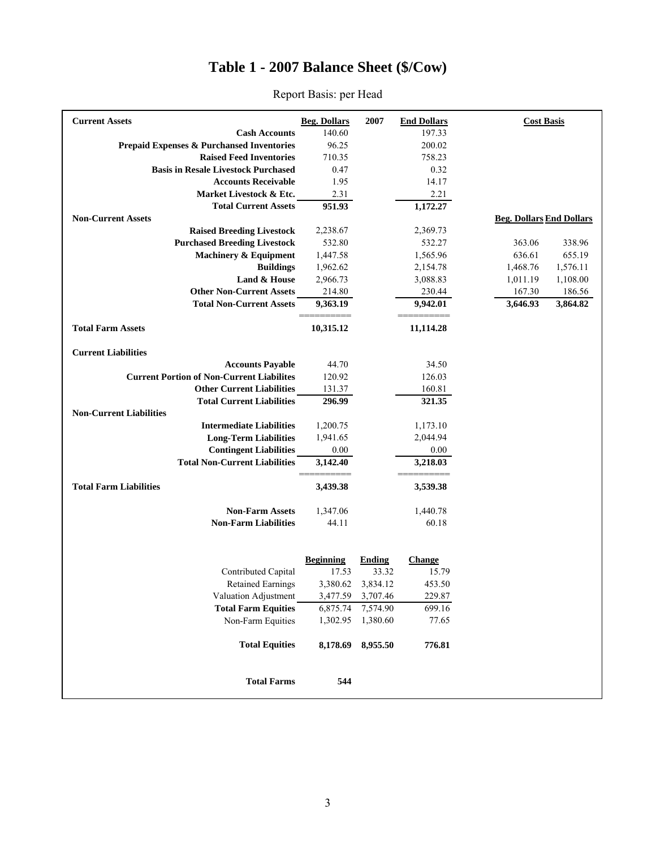## **Table 1 - 2007 Balance Sheet (\$/Cow)**

| <b>Current Assets</b>                                | <b>Beg. Dollars</b> | 2007          | <b>End Dollars</b> | <b>Cost Basis</b>                        |  |
|------------------------------------------------------|---------------------|---------------|--------------------|------------------------------------------|--|
| <b>Cash Accounts</b>                                 | 140.60              |               | 197.33             |                                          |  |
| <b>Prepaid Expenses &amp; Purchansed Inventories</b> | 96.25               |               | 200.02             |                                          |  |
| <b>Raised Feed Inventories</b>                       | 710.35              |               | 758.23             |                                          |  |
| <b>Basis in Resale Livestock Purchased</b>           | 0.47                |               | 0.32               |                                          |  |
| <b>Accounts Receivable</b>                           | 1.95                |               | 14.17              |                                          |  |
| Market Livestock & Etc.                              | 2.31                |               | 2.21               |                                          |  |
| <b>Total Current Assets</b>                          | 951.93              |               | 1,172.27           |                                          |  |
| <b>Non-Current Assets</b>                            |                     |               |                    | <b>Beg. Dollars End Dollars</b>          |  |
| <b>Raised Breeding Livestock</b>                     | 2,238.67            |               | 2,369.73           |                                          |  |
| <b>Purchased Breeding Livestock</b>                  | 532.80              |               | 532.27             | 363.06<br>338.96                         |  |
| <b>Machinery &amp; Equipment</b>                     | 1,447.58            |               | 1,565.96           | 636.61<br>655.19                         |  |
| <b>Buildings</b><br>Land & House                     | 1,962.62            |               | 2,154.78           | 1,468.76<br>1,576.11                     |  |
| <b>Other Non-Current Assets</b>                      | 2,966.73            |               | 3,088.83           | 1,108.00<br>1,011.19<br>167.30<br>186.56 |  |
| <b>Total Non-Current Assets</b>                      | 214.80              |               | 230.44             |                                          |  |
|                                                      | 9,363.19            |               | 9,942.01           | 3,864.82<br>3,646.93                     |  |
| <b>Total Farm Assets</b>                             | 10,315.12           |               | 11,114.28          |                                          |  |
| <b>Current Liabilities</b>                           |                     |               |                    |                                          |  |
| <b>Accounts Payable</b>                              | 44.70               |               | 34.50              |                                          |  |
| <b>Current Portion of Non-Current Liabilites</b>     | 120.92              |               | 126.03             |                                          |  |
| <b>Other Current Liabilities</b>                     | 131.37              |               | 160.81             |                                          |  |
| <b>Total Current Liabilities</b>                     | 296.99              |               | 321.35             |                                          |  |
| <b>Non-Current Liabilities</b>                       |                     |               |                    |                                          |  |
| <b>Intermediate Liabilities</b>                      | 1,200.75            |               | 1,173.10           |                                          |  |
| <b>Long-Term Liabilities</b>                         | 1,941.65            |               | 2,044.94           |                                          |  |
| <b>Contingent Liabilities</b>                        | 0.00                |               | 0.00               |                                          |  |
| <b>Total Non-Current Liabilities</b>                 | 3,142.40            |               | 3,218.03           |                                          |  |
| <b>Total Farm Liabilities</b>                        | 3,439.38            |               | 3,539.38           |                                          |  |
| <b>Non-Farm Assets</b>                               | 1,347.06            |               | 1,440.78           |                                          |  |
| <b>Non-Farm Liabilities</b>                          | 44.11               |               | 60.18              |                                          |  |
|                                                      |                     |               |                    |                                          |  |
|                                                      | <b>Beginning</b>    | <b>Ending</b> | <b>Change</b>      |                                          |  |
| Contributed Capital                                  | 17.53               | 33.32         | 15.79              |                                          |  |
| <b>Retained Earnings</b>                             | 3,380.62            | 3,834.12      | 453.50             |                                          |  |
| Valuation Adjustment                                 | 3,477.59            | 3,707.46      | 229.87             |                                          |  |
| <b>Total Farm Equities</b>                           | 6,875.74            | 7,574.90      | 699.16             |                                          |  |
| Non-Farm Equities                                    | 1,302.95            | 1,380.60      | 77.65              |                                          |  |
| <b>Total Equities</b>                                | 8,178.69            | 8,955.50      | 776.81             |                                          |  |
| <b>Total Farms</b>                                   | 544                 |               |                    |                                          |  |

#### Report Basis: per Head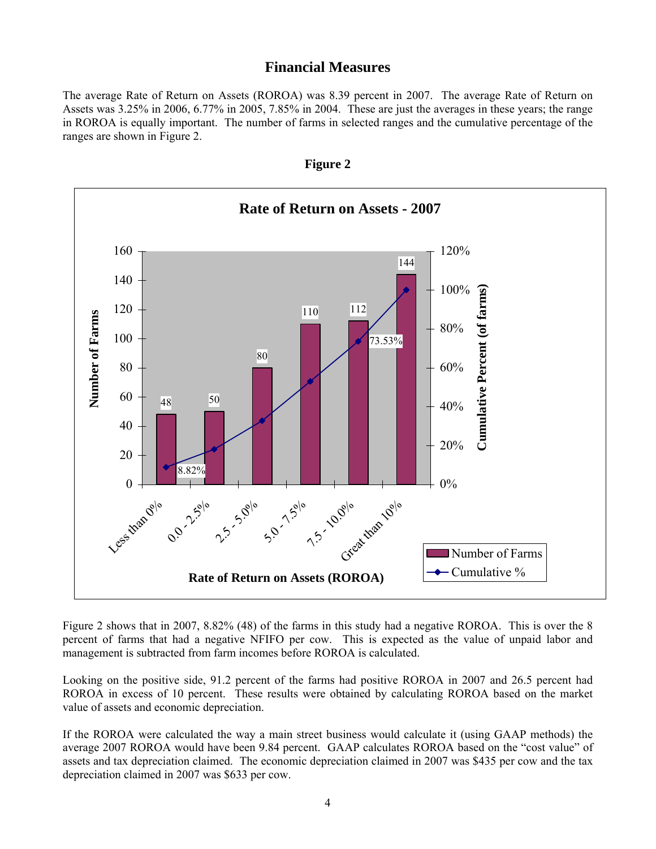#### **Financial Measures**

The average Rate of Return on Assets (ROROA) was 8.39 percent in 2007. The average Rate of Return on Assets was 3.25% in 2006, 6.77% in 2005, 7.85% in 2004. These are just the averages in these years; the range in ROROA is equally important. The number of farms in selected ranges and the cumulative percentage of the ranges are shown in Figure 2.



**Figure 2** 

Figure 2 shows that in 2007, 8.82% (48) of the farms in this study had a negative ROROA. This is over the 8 percent of farms that had a negative NFIFO per cow. This is expected as the value of unpaid labor and management is subtracted from farm incomes before ROROA is calculated.

Looking on the positive side, 91.2 percent of the farms had positive ROROA in 2007 and 26.5 percent had ROROA in excess of 10 percent. These results were obtained by calculating ROROA based on the market value of assets and economic depreciation.

If the ROROA were calculated the way a main street business would calculate it (using GAAP methods) the average 2007 ROROA would have been 9.84 percent. GAAP calculates ROROA based on the "cost value" of assets and tax depreciation claimed. The economic depreciation claimed in 2007 was \$435 per cow and the tax depreciation claimed in 2007 was \$633 per cow.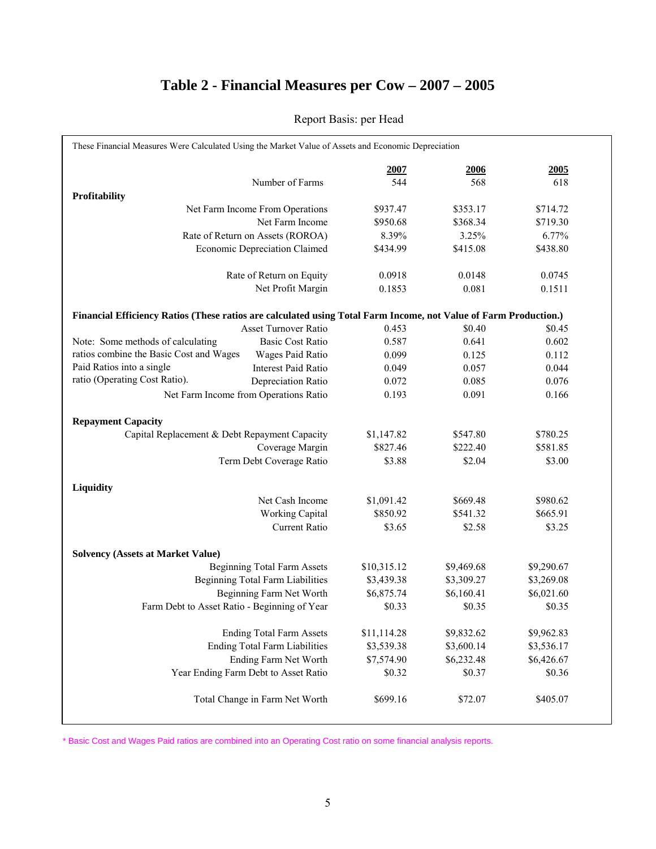# **Table 2 - Financial Measures per Cow – 2007 – 2005**

|                                                                                                                  | 2007        | 2006       | 2005       |
|------------------------------------------------------------------------------------------------------------------|-------------|------------|------------|
| Number of Farms                                                                                                  | 544         | 568        | 618        |
| Profitability                                                                                                    |             |            |            |
| Net Farm Income From Operations                                                                                  | \$937.47    | \$353.17   | \$714.72   |
| Net Farm Income                                                                                                  | \$950.68    | \$368.34   | \$719.30   |
| Rate of Return on Assets (ROROA)                                                                                 | 8.39%       | 3.25%      | 6.77%      |
| <b>Economic Depreciation Claimed</b>                                                                             | \$434.99    | \$415.08   | \$438.80   |
| Rate of Return on Equity                                                                                         | 0.0918      | 0.0148     | 0.0745     |
| Net Profit Margin                                                                                                | 0.1853      | 0.081      | 0.1511     |
| Financial Efficiency Ratios (These ratios are calculated using Total Farm Income, not Value of Farm Production.) |             |            |            |
| Asset Turnover Ratio                                                                                             | 0.453       | \$0.40     | \$0.45     |
| Note: Some methods of calculating<br><b>Basic Cost Ratio</b>                                                     | 0.587       | 0.641      | 0.602      |
| ratios combine the Basic Cost and Wages<br>Wages Paid Ratio                                                      | 0.099       | 0.125      | 0.112      |
| Paid Ratios into a single<br><b>Interest Paid Ratio</b>                                                          | 0.049       | 0.057      | 0.044      |
| ratio (Operating Cost Ratio).<br>Depreciation Ratio                                                              | 0.072       | 0.085      | 0.076      |
| Net Farm Income from Operations Ratio                                                                            | 0.193       | 0.091      | 0.166      |
| <b>Repayment Capacity</b>                                                                                        |             |            |            |
| Capital Replacement & Debt Repayment Capacity                                                                    | \$1,147.82  | \$547.80   | \$780.25   |
| Coverage Margin                                                                                                  | \$827.46    | \$222.40   | \$581.85   |
| Term Debt Coverage Ratio                                                                                         | \$3.88      | \$2.04     | \$3.00     |
| Liquidity                                                                                                        |             |            |            |
| Net Cash Income                                                                                                  | \$1,091.42  | \$669.48   | \$980.62   |
| <b>Working Capital</b>                                                                                           | \$850.92    | \$541.32   | \$665.91   |
| <b>Current Ratio</b>                                                                                             | \$3.65      | \$2.58     | \$3.25     |
| <b>Solvency (Assets at Market Value)</b>                                                                         |             |            |            |
| <b>Beginning Total Farm Assets</b>                                                                               | \$10,315.12 | \$9,469.68 | \$9,290.67 |
| <b>Beginning Total Farm Liabilities</b>                                                                          | \$3,439.38  | \$3,309.27 | \$3,269.08 |
| Beginning Farm Net Worth                                                                                         | \$6,875.74  | \$6,160.41 | \$6,021.60 |
| Farm Debt to Asset Ratio - Beginning of Year                                                                     | \$0.33      | \$0.35     | \$0.35     |
| <b>Ending Total Farm Assets</b>                                                                                  | \$11,114.28 | \$9,832.62 | \$9,962.83 |
| <b>Ending Total Farm Liabilities</b>                                                                             | \$3,539.38  | \$3,600.14 | \$3,536.17 |
| Ending Farm Net Worth                                                                                            | \$7,574.90  | \$6,232.48 | \$6,426.67 |
| Year Ending Farm Debt to Asset Ratio                                                                             | \$0.32      | \$0.37     | \$0.36     |
| Total Change in Farm Net Worth                                                                                   | \$699.16    | \$72.07    | \$405.07   |

#### Report Basis: per Head

\* Basic Cost and Wages Paid ratios are combined into an Operating Cost ratio on some financial analysis reports.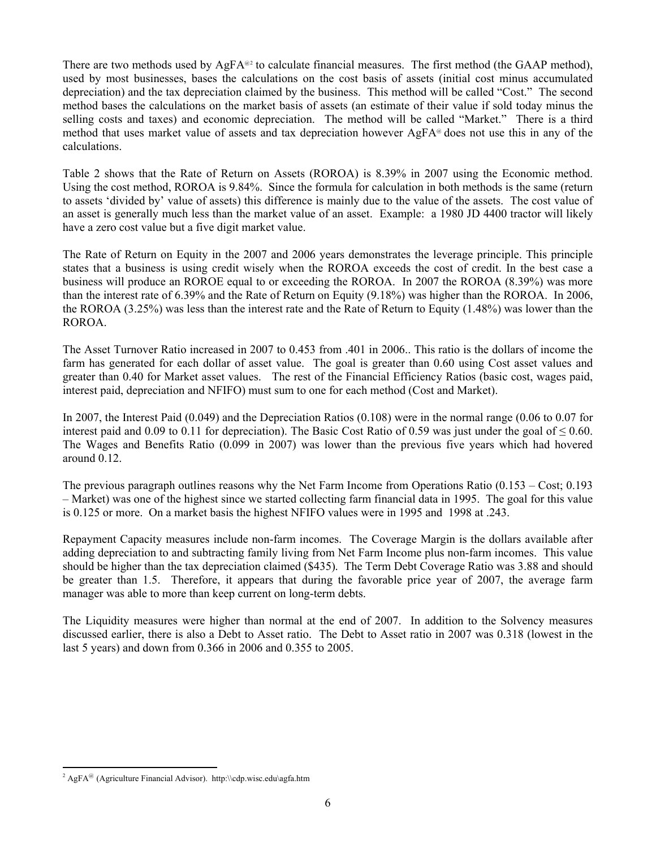There are two methods used by  $AgFA^{\omega_2}$  $AgFA^{\omega_2}$  $AgFA^{\omega_2}$  to calculate financial measures. The first method (the GAAP method), used by most businesses, bases the calculations on the cost basis of assets (initial cost minus accumulated depreciation) and the tax depreciation claimed by the business. This method will be called "Cost." The second method bases the calculations on the market basis of assets (an estimate of their value if sold today minus the selling costs and taxes) and economic depreciation. The method will be called "Market." There is a third method that uses market value of assets and tax depreciation however  $AgFA^{\omega}$  does not use this in any of the calculations.

Table 2 shows that the Rate of Return on Assets (ROROA) is 8.39% in 2007 using the Economic method. Using the cost method, ROROA is 9.84%. Since the formula for calculation in both methods is the same (return to assets 'divided by' value of assets) this difference is mainly due to the value of the assets. The cost value of an asset is generally much less than the market value of an asset. Example: a 1980 JD 4400 tractor will likely have a zero cost value but a five digit market value.

The Rate of Return on Equity in the 2007 and 2006 years demonstrates the leverage principle. This principle states that a business is using credit wisely when the ROROA exceeds the cost of credit. In the best case a business will produce an ROROE equal to or exceeding the ROROA. In 2007 the ROROA (8.39%) was more than the interest rate of 6.39% and the Rate of Return on Equity (9.18%) was higher than the ROROA. In 2006, the ROROA (3.25%) was less than the interest rate and the Rate of Return to Equity (1.48%) was lower than the ROROA.

The Asset Turnover Ratio increased in 2007 to 0.453 from .401 in 2006.. This ratio is the dollars of income the farm has generated for each dollar of asset value. The goal is greater than 0.60 using Cost asset values and greater than 0.40 for Market asset values. The rest of the Financial Efficiency Ratios (basic cost, wages paid, interest paid, depreciation and NFIFO) must sum to one for each method (Cost and Market).

In 2007, the Interest Paid (0.049) and the Depreciation Ratios (0.108) were in the normal range (0.06 to 0.07 for interest paid and 0.09 to 0.11 for depreciation). The Basic Cost Ratio of 0.59 was just under the goal of  $\leq 0.60$ . The Wages and Benefits Ratio (0.099 in 2007) was lower than the previous five years which had hovered around 0.12.

The previous paragraph outlines reasons why the Net Farm Income from Operations Ratio (0.153 – Cost; 0.193 – Market) was one of the highest since we started collecting farm financial data in 1995. The goal for this value is 0.125 or more. On a market basis the highest NFIFO values were in 1995 and 1998 at .243.

Repayment Capacity measures include non-farm incomes. The Coverage Margin is the dollars available after adding depreciation to and subtracting family living from Net Farm Income plus non-farm incomes. This value should be higher than the tax depreciation claimed (\$435). The Term Debt Coverage Ratio was 3.88 and should be greater than 1.5. Therefore, it appears that during the favorable price year of 2007, the average farm manager was able to more than keep current on long-term debts.

The Liquidity measures were higher than normal at the end of 2007. In addition to the Solvency measures discussed earlier, there is also a Debt to Asset ratio. The Debt to Asset ratio in 2007 was 0.318 (lowest in the last 5 years) and down from 0.366 in 2006 and 0.355 to 2005.

<span id="page-5-0"></span> $\overline{a}$ <sup>2</sup> AgFA<sup>@</sup> (Agriculture Financial Advisor). http:\\cdp.wisc.edu\agfa.htm